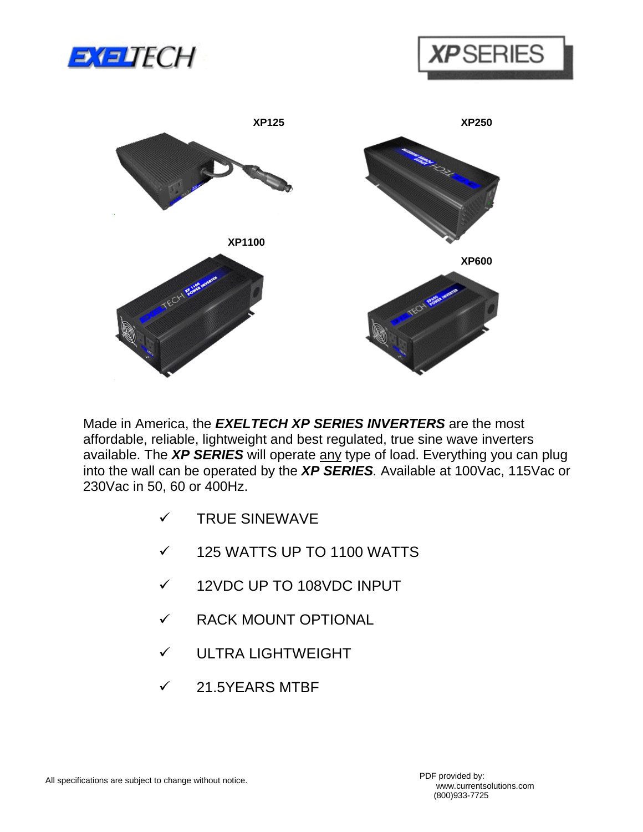





Made in America, the *EXELTECH XP SERIES INVERTERS* are the most affordable, reliable, lightweight and best regulated, true sine wave inverters available. The *XP SERIES* will operate any type of load. Everything you can plug into the wall can be operated by the *XP SERIES.* Available at 100Vac, 115Vac or 230Vac in 50, 60 or 400Hz.

- ! TRUE SINEWAVE
- $\times$  125 WATTS UP TO 1100 WATTS
- ! 12VDC UP TO 108VDC INPUT
- $\checkmark$  RACK MOUNT OPTIONAL
- $\checkmark$  ULTRA LIGHTWEIGHT
- $\checkmark$  21.5YEARS MTBF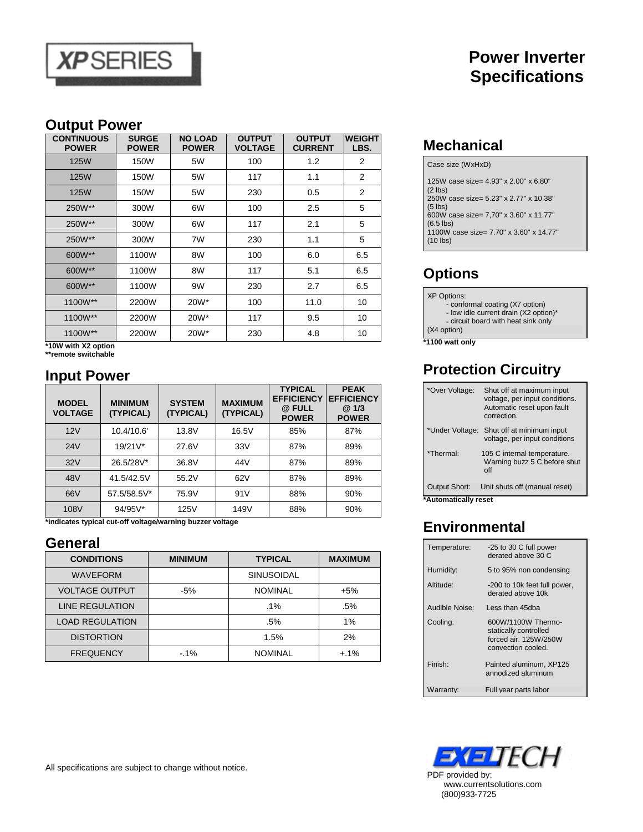

## **Power Inverter Specifications**

#### **Output Power**

| <b>CONTINUOUS</b><br><b>POWER</b> | <b>SURGE</b><br><b>POWER</b> | <b>NO LOAD</b><br><b>POWER</b> | <b>OUTPUT</b><br><b>VOLTAGE</b> | <b>OUTPUT</b><br><b>CURRENT</b> | <b>WEIGHT</b><br>LBS. |
|-----------------------------------|------------------------------|--------------------------------|---------------------------------|---------------------------------|-----------------------|
| <b>125W</b>                       | 150W                         | 5W                             | 100                             | 1.2                             | 2                     |
| <b>125W</b>                       | 150W                         | 5W                             | 117                             | 1.1                             | 2                     |
| <b>125W</b>                       | 150W                         | 5W                             | 230                             | 0.5                             | 2                     |
| 250W**                            | 300W                         | 6W                             | 100                             | 2.5                             | 5                     |
| 250W**                            | 300W                         | 6W                             | 117                             | 2.1                             | 5                     |
| 250W**                            | 300W                         | 7W                             | 230                             | 1.1                             | 5                     |
| 600W**                            | 1100W                        | 8W                             | 100                             | 6.0                             | 6.5                   |
| 600W**                            | 1100W                        | 8W                             | 117                             | 5.1                             | 6.5                   |
| 600W**                            | 1100W                        | 9W                             | 230                             | 2.7                             | 6.5                   |
| 1100W**                           | 2200W                        | 20W*                           | 100                             | 11.0                            | 10                    |
| 1100W**                           | 2200W                        | 20W*                           | 117                             | 9.5                             | 10                    |
| 1100W**                           | 2200W                        | 20W*                           | 230                             | 4.8                             | 10                    |

**\*10W with X2 option** 

**\*\*remote switchable**

### **Input Power**

| <b>MODEL</b><br><b>VOLTAGE</b> | <b>MINIMUM</b><br>(TYPICAL) | <b>SYSTEM</b><br>(TYPICAL) | <b>MAXIMUM</b><br>(TYPICAL) | <b>TYPICAL</b><br><b>EFFICIENCY</b><br>@ FULL<br><b>POWER</b> | <b>PEAK</b><br><b>EFFICIENCY</b><br>@1/3<br><b>POWER</b> |
|--------------------------------|-----------------------------|----------------------------|-----------------------------|---------------------------------------------------------------|----------------------------------------------------------|
| 12V                            | 10.4/10.6'                  | 13.8V                      | 16.5V                       | 85%                                                           | 87%                                                      |
| 24V                            | $19/21V^*$                  | 27.6V                      | 33V                         | 87%                                                           | 89%                                                      |
| 32V                            | 26.5/28V*                   | 36.8V                      | 44V                         | 87%                                                           | 89%                                                      |
| 48V                            | 41.5/42.5V                  | 55.2V                      | 62V                         | 87%                                                           | 89%                                                      |
| 66V                            | 57.5/58.5V*                 | 75.9V                      | 91V                         | 88%                                                           | 90%                                                      |
| 108V                           | 94/95V*                     | 125V                       | 149V                        | 88%                                                           | 90%                                                      |

**\*indicates typical cut-off voltage/warning buzzer voltage** 

#### **General**

| <b>CONDITIONS</b>      | <b>MINIMUM</b> | <b>TYPICAL</b>    | <b>MAXIMUM</b> |
|------------------------|----------------|-------------------|----------------|
| <b>WAVEFORM</b>        |                | <b>SINUSOIDAL</b> |                |
| <b>VOLTAGE OUTPUT</b>  | $-5%$          | <b>NOMINAL</b>    | $+5%$          |
| <b>LINE REGULATION</b> |                | $.1\%$            | .5%            |
| <b>LOAD REGULATION</b> |                | .5%               | 1%             |
| <b>DISTORTION</b>      |                | 1.5%              | 2%             |
| <b>FREQUENCY</b>       | $-1%$          | <b>NOMINAL</b>    | $+.1\%$        |

**Mechanical**

Case size (WxHxD)

| 125W case size= 4.93" x 2.00" x 6.80"<br>$(2$ lbs)     |
|--------------------------------------------------------|
| 250W case size= 5.23" x 2.77" x 10.38"                 |
| $(5$ lbs)<br>600W case size= 7,70" x 3.60" x 11.77"    |
| $(6.5$ lbs)<br>1100W case size= 7.70" x 3.60" x 14.77" |
| $(10$ lbs)                                             |

# **Options**

XP Options: - conformal coating (X7 option) **-** Iow idle current drain (X2 option)\* **-** circuit board with heat sink only (X4 option)

**\*1100 watt only**

### **Protection Circuitry**

| *Over Voltage:                               | Shut off at maximum input<br>voltage, per input conditions.<br>Automatic reset upon fault<br>correction. |
|----------------------------------------------|----------------------------------------------------------------------------------------------------------|
| *Under Voltage:                              | Shut off at minimum input<br>voltage, per input conditions                                               |
| *Thermal <sup>.</sup>                        | 105 C internal temperature.<br>Warning buzz 5 C before shut<br>$\int$ ff                                 |
| <b>Output Short:</b><br>*Automatically rocot | Unit shuts off (manual reset)                                                                            |

**\*Automatically reset**

### **Environmental**

| Temperature:          | -25 to 30 C full power<br>derated above 30 C                                               |
|-----------------------|--------------------------------------------------------------------------------------------|
| Humidity:             | 5 to 95% non condensing                                                                    |
| Altitude:             | -200 to 10k feet full power,<br>derated above 10k                                          |
| Audible Noise:        | Less than 45dba                                                                            |
| Cooling:              | 600W/1100W Thermo-<br>statically controlled<br>forced air, 125W/250W<br>convection cooled. |
| Finish <sup>-</sup>   | Painted aluminum, XP125<br>annodized aluminum                                              |
| Narrantv <sup>.</sup> | Full year parts labor                                                                      |



All specifications are subject to change without notice.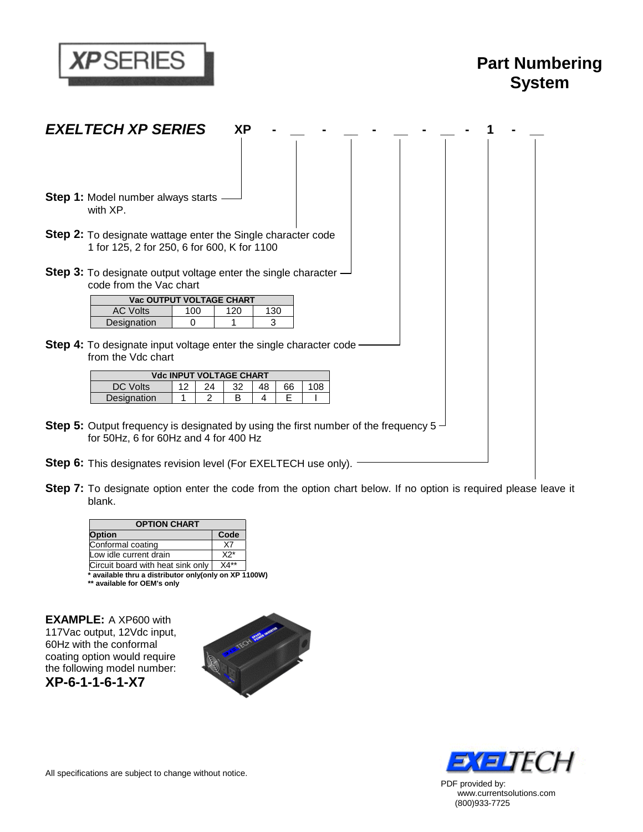

# **Part Numbering System**

| <b>EXELTECH XP SERIES</b><br>ΧP                                                                                                                   |
|---------------------------------------------------------------------------------------------------------------------------------------------------|
|                                                                                                                                                   |
| <b>Step 1:</b> Model number always starts<br>with XP.                                                                                             |
| <b>Step 2:</b> To designate wattage enter the Single character code<br>1 for 125, 2 for 250, 6 for 600, K for 1100                                |
| <b>Step 3:</b> To designate output voltage enter the single character –<br>code from the Vac chart                                                |
| Vac OUTPUT VOLTAGE CHART<br><b>AC Volts</b><br>100<br>130<br>120<br>3<br>Designation<br>0<br>1                                                    |
| <b>Step 4:</b> To designate input voltage enter the single character code<br>from the Vdc chart                                                   |
| <b>Vdc INPUT VOLTAGE CHART</b>                                                                                                                    |
| <b>DC Volts</b><br>$12 \overline{ }$<br>32<br>108<br>24<br>48<br>66<br>$\mathcal{P}$<br>E<br>1<br>B<br>4<br>Designation                           |
| <b>Step 5:</b> Output frequency is designated by using the first number of the frequency 5 $\rightarrow$<br>for 50Hz, 6 for 60Hz and 4 for 400 Hz |
| <b>Step 6:</b> This designates revision level (For EXELTECH use only).                                                                            |

**Step 7:** To designate option enter the code from the option chart below. If no option is required please leave it blank.

| Option                            | Code  |
|-----------------------------------|-------|
| Conformal coating                 | X7    |
| Low idle current drain            | $X2*$ |
| Circuit board with heat sink only | X4**  |

**EXAMPLE:** A XP600 with 117Vac output, 12Vdc input, 60Hz with the conformal coating option would require the following model number: **XP-6-1-1-6-1-X7** 





PDF provided by: www.currentsolutions.com (800)933-7725